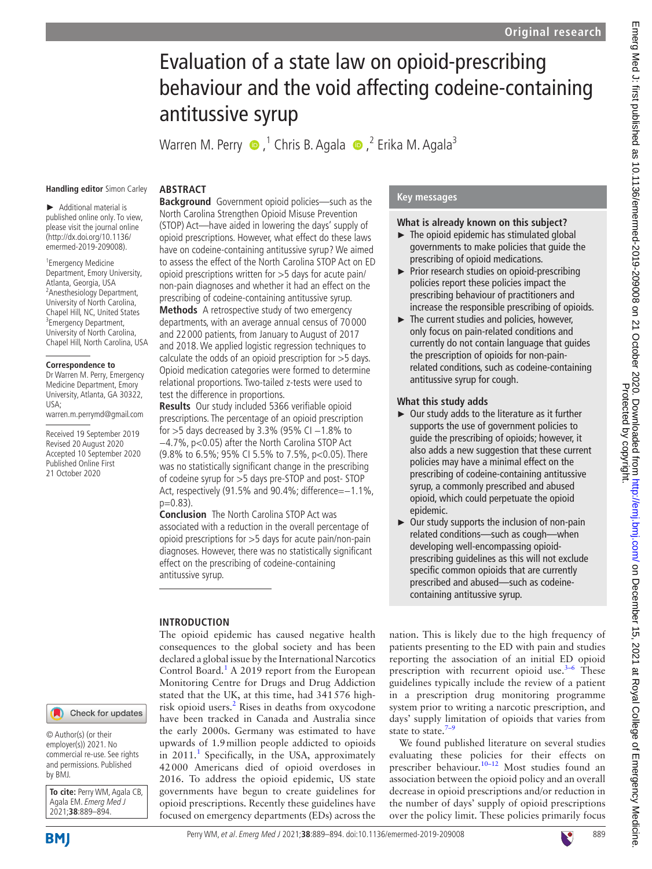# Evaluation of a state law on opioid-prescribing behaviour and the void affecting codeine-containing antitussive syrup

WarrenM. Perry  $\bigcirc$  ,<sup>1</sup> Chris B. Agala  $\bigcirc$  ,<sup>2</sup> Erika M. Agala<sup>3</sup>

#### **Handling editor** Simon Carley

**ABSTRACT**

► Additional material is published online only. To view, please visit the journal online (http://dx.doi.org/10.1136/ emermed-2019-209008).

1 Emergency Medicine Department, Emory University, Atlanta, Georgia, USA <sup>2</sup> Anesthesiology Department, University of North Carolina, Chapel Hill, NC, United States <sup>3</sup>Emergency Department, University of North Carolina, Chapel Hill, North Carolina, USA

#### **Correspondence to**

Dr Warren M. Perry, Emergency Medicine Department, Emory University, Atlanta, GA 30322, USA;

warren.m.perrymd@gmail.com

Received 19 September 2019 Revised 20 August 2020 Accepted 10 September 2020 Published Online First 21 October 2020

## Check for updates

© Author(s) (or their employer(s)) 2021. No commercial re-use. See rights and permissions. Published by BMJ.

**To cite:** Perry WM, Agala CB, Agala EM. Emerg Med J 2021;**38**:889–894.

**Background** Government opioid policies—such as the North Carolina Strengthen Opioid Misuse Prevention (STOP) Act—have aided in lowering the days' supply of opioid prescriptions. However, what effect do these laws have on codeine-containing antitussive syrup? We aimed to assess the effect of the North Carolina STOP Act on ED opioid prescriptions written for >5 days for acute pain/ non-pain diagnoses and whether it had an effect on the prescribing of codeine-containing antitussive syrup. **Methods** A retrospective study of two emergency departments, with an average annual census of 70 000 and 22 000 patients, from January to August of 2017 and 2018. We applied logistic regression techniques to calculate the odds of an opioid prescription for >5 days. Opioid medication categories were formed to determine relational proportions. Two-tailed z-tests were used to test the difference in proportions.

**Results** Our study included 5366 verifiable opioid prescriptions. The percentage of an opioid prescription for >5 days decreased by 3.3% (95% CI -1.8% to −4.7%, p<0.05) after the North Carolina STOP Act (9.8% to 6.5%; 95% CI 5.5% to 7.5%, p<0.05). There was no statistically significant change in the prescribing of codeine syrup for >5 days pre-STOP and post- STOP Act, respectively (91.5% and 90.4%; difference=−1.1%,  $p=0.83$ ).

**Conclusion** The North Carolina STOP Act was associated with a reduction in the overall percentage of opioid prescriptions for >5 days for acute pain/non-pain diagnoses. However, there was no statistically significant effect on the prescribing of codeine-containing antitussive syrup.

#### **INTRODUCTION**

The opioid epidemic has caused negative health consequences to the global society and has been declared a global issue by the International Narcotics Control Board.<sup>[1](#page-4-0)</sup> A 2019 report from the European Monitoring Centre for Drugs and Drug Addiction stated that the UK, at this time, had 341576 high-risk opioid users.<sup>[2](#page-4-1)</sup> Rises in deaths from oxycodone have been tracked in Canada and Australia since the early 2000s. Germany was estimated to have upwards of 1.9million people addicted to opioids in 20[1](#page-4-0)1.<sup>1</sup> Specifically, in the USA, approximately 42000 Americans died of opioid overdoses in 2016. To address the opioid epidemic, US state governments have begun to create guidelines for opioid prescriptions. Recently these guidelines have focused on emergency departments (EDs) across the

### **Key messages**

#### **What is already known on this subject?**

- $\blacktriangleright$  The opioid epidemic has stimulated global governments to make policies that guide the prescribing of opioid medications.
- ► Prior research studies on opioid-prescribing policies report these policies impact the prescribing behaviour of practitioners and increase the responsible prescribing of opioids.
- $\blacktriangleright$  The current studies and policies, however, only focus on pain-related conditions and currently do not contain language that guides the prescription of opioids for non-painrelated conditions, such as codeine-containing antitussive syrup for cough.

#### **What this study adds**

- ► Our study adds to the literature as it further supports the use of government policies to guide the prescribing of opioids; however, it also adds a new suggestion that these current policies may have a minimal effect on the prescribing of codeine-containing antitussive syrup, a commonly prescribed and abused opioid, which could perpetuate the opioid epidemic.
- ► Our study supports the inclusion of non-pain related conditions—such as cough—when developing well-encompassing opioidprescribing guidelines as this will not exclude specific common opioids that are currently prescribed and abused—such as codeinecontaining antitussive syrup.

nation. This is likely due to the high frequency of patients presenting to the ED with pain and studies reporting the association of an initial ED opioid prescription with recurrent opioid use.<sup>3-6</sup> These guidelines typically include the review of a patient in a prescription drug monitoring programme system prior to writing a narcotic prescription, and days' supply limitation of opioids that varies from state to state. $7-9$ 

We found published literature on several studies evaluating these policies for their effects on prescriber behaviour.<sup>10–12</sup> Most studies found an association between the opioid policy and an overall decrease in opioid prescriptions and/or reduction in the number of days' supply of opioid prescriptions over the policy limit. These policies primarily focus

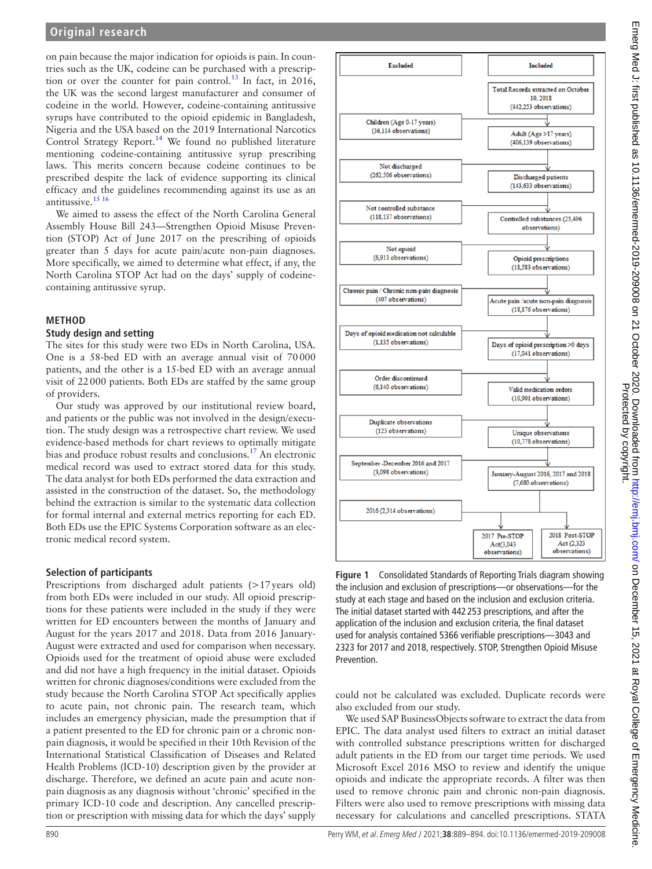on pain because the major indication for opioids is pain. In countries such as the UK, codeine can be purchased with a prescription or over the counter for pain control.<sup>13</sup> In fact, in 2016, the UK was the second largest manufacturer and consumer of codeine in the world. However, codeine-containing antitussive syrups have contributed to the opioid epidemic in Bangladesh, Nigeria and the USA based on the 2019 International Narcotics Control Strategy Report.<sup>[14](#page-4-6)</sup> We found no published literature mentioning codeine-containing antitussive syrup prescribing laws. This merits concern because codeine continues to be prescribed despite the lack of evidence supporting its clinical efficacy and the guidelines recommending against its use as an antitussive.[15 16](#page-4-7)

We aimed to assess the effect of the North Carolina General Assembly House Bill 243—Strengthen Opioid Misuse Prevention (STOP) Act of June 2017 on the prescribing of opioids greater than 5 days for acute pain/acute non-pain diagnoses. More specifically, we aimed to determine what effect, if any, the North Carolina STOP Act had on the days' supply of codeinecontaining antitussive syrup.

### **METHOD**

### **Study design and setting**

The sites for this study were two EDs in North Carolina, USA. One is a 58-bed ED with an average annual visit of 70000 patients, and the other is a 15-bed ED with an average annual visit of 22000 patients. Both EDs are staffed by the same group of providers.

Our study was approved by our institutional review board, and patients or the public was not involved in the design/execution. The study design was a retrospective chart review. We used evidence-based methods for chart reviews to optimally mitigate bias and produce robust results and conclusions.<sup>17</sup> An electronic medical record was used to extract stored data for this study. The data analyst for both EDs performed the data extraction and assisted in the construction of the dataset. So, the methodology behind the extraction is similar to the systematic data collection for formal internal and external metrics reporting for each ED. Both EDs use the EPIC Systems Corporation software as an electronic medical record system.

### **Selection of participants**

Prescriptions from discharged adult patients (>17years old) from both EDs were included in our study. All opioid prescriptions for these patients were included in the study if they were written for ED encounters between the months of January and August for the years 2017 and 2018. Data from 2016 January-August were extracted and used for comparison when necessary. Opioids used for the treatment of opioid abuse were excluded and did not have a high frequency in the initial dataset. Opioids written for chronic diagnoses/conditions were excluded from the study because the North Carolina STOP Act specifically applies to acute pain, not chronic pain. The research team, which includes an emergency physician, made the presumption that if a patient presented to the ED for chronic pain or a chronic nonpain diagnosis, it would be specified in their 10th Revision of the International Statistical Classification of Diseases and Related Health Problems (ICD-10) description given by the provider at discharge. Therefore, we defined an acute pain and acute nonpain diagnosis as any diagnosis without 'chronic' specified in the primary ICD-10 code and description. Any cancelled prescription or prescription with missing data for which the days' supply



<span id="page-1-0"></span>**Figure 1** Consolidated Standards of Reporting Trials diagram showing the inclusion and exclusion of prescriptions—or observations—for the study at each stage and based on the inclusion and exclusion criteria. The initial dataset started with 442 253 prescriptions, and after the application of the inclusion and exclusion criteria, the final dataset used for analysis contained 5366 verifiable prescriptions—3043 and 2323 for 2017 and 2018, respectively. STOP, Strengthen Opioid Misuse Prevention.

could not be calculated was excluded. Duplicate records were also excluded from our study.

We used SAP BusinessObjects software to extract the data from EPIC. The data analyst used filters to extract an initial dataset with controlled substance prescriptions written for discharged adult patients in the ED from our target time periods. We used Microsoft Excel 2016 MSO to review and identify the unique opioids and indicate the appropriate records. A filter was then used to remove chronic pain and chronic non-pain diagnosis. Filters were also used to remove prescriptions with missing data necessary for calculations and cancelled prescriptions. STATA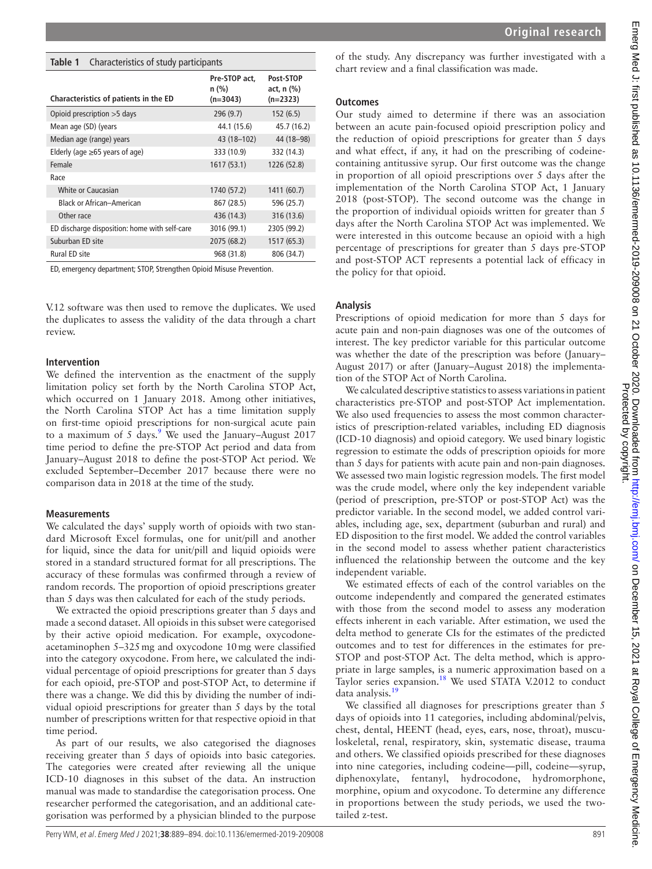#### <span id="page-2-0"></span>**Table 1** Characteristics of study participants

| Characteristics of patients in the ED         | Pre-STOP act.<br>$n$ (%)<br>$(n=3043)$ | Post-STOP<br>act, $n$ $(\%)$<br>$(n=2323)$ |
|-----------------------------------------------|----------------------------------------|--------------------------------------------|
| Opioid prescription $>5$ days                 | 296 (9.7)                              | 152(6.5)                                   |
| Mean age (SD) (years                          | 44.1 (15.6)                            | 45.7 (16.2)                                |
| Median age (range) years                      | 43 (18 – 102)                          | 44 (18 - 98)                               |
| Elderly (age $\geq 65$ years of age)          | 333 (10.9)                             | 332 (14.3)                                 |
| Female                                        | 1617(53.1)                             | 1226 (52.8)                                |
| Race                                          |                                        |                                            |
| White or Caucasian                            | 1740 (57.2)                            | 1411 (60.7)                                |
| <b>Black or African-American</b>              | 867 (28.5)                             | 596 (25.7)                                 |
| Other race                                    | 436 (14.3)                             | 316 (13.6)                                 |
| ED discharge disposition: home with self-care | 3016 (99.1)                            | 2305 (99.2)                                |
| Suburban ED site                              | 2075 (68.2)                            | 1517 (65.3)                                |
| Rural ED site                                 | 968 (31.8)                             | 806 (34.7)                                 |

ED, emergency department; STOP, Strengthen Opioid Misuse Prevention.

V.12 software was then used to remove the duplicates. We used the duplicates to assess the validity of the data through a chart review.

#### **Intervention**

We defined the intervention as the enactment of the supply limitation policy set forth by the North Carolina STOP Act, which occurred on 1 January 2018. Among other initiatives, the North Carolina STOP Act has a time limitation supply on first-time opioid prescriptions for non-surgical acute pain to a maximum of 5 days.<sup>[9](#page-4-8)</sup> We used the January–August 2017 time period to define the pre-STOP Act period and data from January–August 2018 to define the post-STOP Act period. We excluded September–December 2017 because there were no comparison data in 2018 at the time of the study.

#### **Measurements**

We calculated the days' supply worth of opioids with two standard Microsoft Excel formulas, one for unit/pill and another for liquid, since the data for unit/pill and liquid opioids were stored in a standard structured format for all prescriptions. The accuracy of these formulas was confirmed through a review of random records. The proportion of opioid prescriptions greater than 5 days was then calculated for each of the study periods.

We extracted the opioid prescriptions greater than 5 days and made a second dataset. All opioids in this subset were categorised by their active opioid medication. For example, oxycodoneacetaminophen 5–325mg and oxycodone 10mg were classified into the category oxycodone. From here, we calculated the individual percentage of opioid prescriptions for greater than 5 days for each opioid, pre-STOP and post-STOP Act, to determine if there was a change. We did this by dividing the number of individual opioid prescriptions for greater than 5 days by the total number of prescriptions written for that respective opioid in that time period.

As part of our results, we also categorised the diagnoses receiving greater than 5 days of opioids into basic categories. The categories were created after reviewing all the unique ICD-10 diagnoses in this subset of the data. An instruction manual was made to standardise the categorisation process. One researcher performed the categorisation, and an additional categorisation was performed by a physician blinded to the purpose

of the study. Any discrepancy was further investigated with a chart review and a final classification was made.

#### **Outcomes**

Our study aimed to determine if there was an association between an acute pain-focused opioid prescription policy and the reduction of opioid prescriptions for greater than 5 days and what effect, if any, it had on the prescribing of codeinecontaining antitussive syrup. Our first outcome was the change in proportion of all opioid prescriptions over 5 days after the implementation of the North Carolina STOP Act, 1 January 2018 (post-STOP). The second outcome was the change in the proportion of individual opioids written for greater than 5 days after the North Carolina STOP Act was implemented. We were interested in this outcome because an opioid with a high percentage of prescriptions for greater than 5 days pre-STOP and post-STOP ACT represents a potential lack of efficacy in the policy for that opioid.

#### **Analysis**

Prescriptions of opioid medication for more than 5 days for acute pain and non-pain diagnoses was one of the outcomes of interest. The key predictor variable for this particular outcome was whether the date of the prescription was before (January– August 2017) or after (January–August 2018) the implementation of the STOP Act of North Carolina.

We calculated descriptive statistics to assess variations in patient characteristics pre-STOP and post-STOP Act implementation. We also used frequencies to assess the most common characteristics of prescription-related variables, including ED diagnosis (ICD-10 diagnosis) and opioid category. We used binary logistic regression to estimate the odds of prescription opioids for more than 5 days for patients with acute pain and non-pain diagnoses. We assessed two main logistic regression models. The first model was the crude model, where only the key independent variable (period of prescription, pre-STOP or post-STOP Act) was the predictor variable. In the second model, we added control variables, including age, sex, department (suburban and rural) and ED disposition to the first model. We added the control variables in the second model to assess whether patient characteristics influenced the relationship between the outcome and the key independent variable.

We estimated effects of each of the control variables on the outcome independently and compared the generated estimates with those from the second model to assess any moderation effects inherent in each variable. After estimation, we used the delta method to generate CIs for the estimates of the predicted outcomes and to test for differences in the estimates for pre-STOP and post-STOP Act. The delta method, which is appropriate in large samples, is a numeric approximation based on a Taylor series expansion.<sup>18</sup> We used STATA V.2012 to conduct data analysis.[19](#page-5-2)

We classified all diagnoses for prescriptions greater than 5 days of opioids into 11 categories, including abdominal/pelvis, chest, dental, HEENT (head, eyes, ears, nose, throat), musculoskeletal, renal, respiratory, skin, systematic disease, trauma and others. We classified opioids prescribed for these diagnoses into nine categories, including codeine—pill, codeine—syrup, diphenoxylate, fentanyl, hydrocodone, hydromorphone, morphine, opium and oxycodone. To determine any difference in proportions between the study periods, we used the twotailed z-test.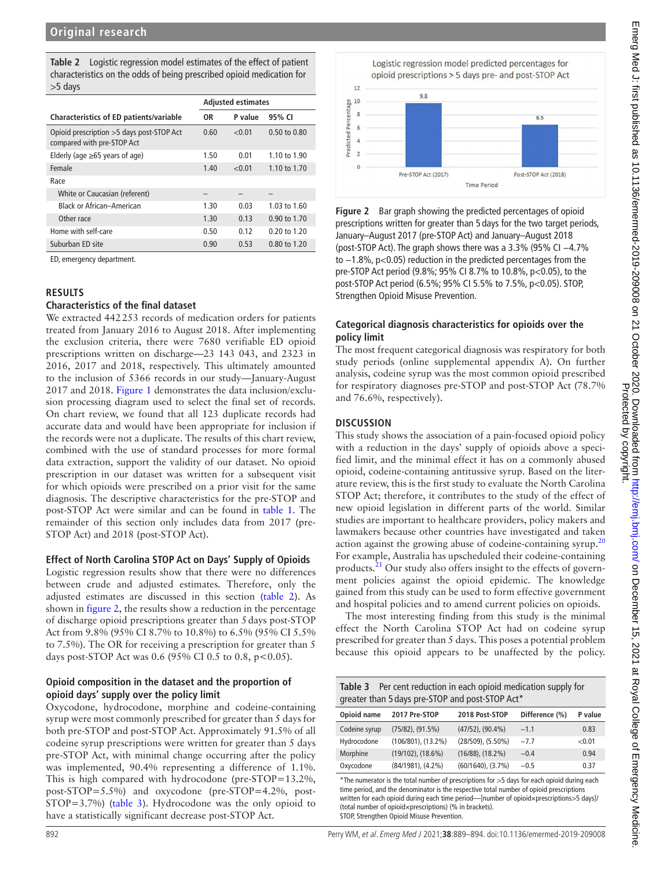<span id="page-3-0"></span>

|           | <b>Table 2</b> Logistic regression model estimates of the effect of patient |
|-----------|-----------------------------------------------------------------------------|
|           | characteristics on the odds of being prescribed opioid medication for       |
| $>5$ davs |                                                                             |

|                                                                          | <b>Adjusted estimates</b> |         |                         |
|--------------------------------------------------------------------------|---------------------------|---------|-------------------------|
| Characteristics of ED patients/variable                                  | 0R                        | P value | 95% CI                  |
| Opioid prescription > 5 days post-STOP Act<br>compared with pre-STOP Act | 0.60                      | < 0.01  | 0.50 to 0.80            |
| Elderly (age $\geq 65$ years of age)                                     | 1.50                      | 0.01    | 1.10 to 1.90            |
| Female                                                                   | 1.40                      | < 0.01  | 1.10 to 1.70            |
| Race                                                                     |                           |         |                         |
| White or Caucasian (referent)                                            |                           |         |                         |
| <b>Black or African-American</b>                                         | 1.30                      | 0.03    | $1.03 \text{ to } 1.60$ |
| Other race                                                               | 1.30                      | 0.13    | 0.90 to 1.70            |
| Home with self-care                                                      | 0.50                      | 0.12    | $0.20$ to 1.20          |
| Suburban ED site                                                         | 0.90                      | 0.53    | $0.80 \text{ to } 1.20$ |

ED, emergency department.

### **RESULTS**

#### **Characteristics of the final dataset**

We extracted 442253 records of medication orders for patients treated from January 2016 to August 2018. After implementing the exclusion criteria, there were 7680 verifiable ED opioid prescriptions written on discharge—23 143 043, and 2323 in 2016, 2017 and 2018, respectively. This ultimately amounted to the inclusion of 5366 records in our study—January-August 2017 and 2018. [Figure](#page-1-0) 1 demonstrates the data inclusion/exclusion processing diagram used to select the final set of records. On chart review, we found that all 123 duplicate records had accurate data and would have been appropriate for inclusion if the records were not a duplicate. The results of this chart review, combined with the use of standard processes for more formal data extraction, support the validity of our dataset. No opioid prescription in our dataset was written for a subsequent visit for which opioids were prescribed on a prior visit for the same diagnosis. The descriptive characteristics for the pre-STOP and post-STOP Act were similar and can be found in [table](#page-2-0) 1. The remainder of this section only includes data from 2017 (pre-STOP Act) and 2018 (post-STOP Act).

### **Effect of North Carolina STOP Act on Days' Supply of Opioids**

Logistic regression results show that there were no differences between crude and adjusted estimates. Therefore, only the adjusted estimates are discussed in this section ([table](#page-3-0) 2). As shown in [figure](#page-3-1) 2, the results show a reduction in the percentage of discharge opioid prescriptions greater than 5days post-STOP Act from 9.8% (95% CI 8.7% to 10.8%) to 6.5% (95% CI 5.5% to 7.5%). The OR for receiving a prescription for greater than 5 days post-STOP Act was 0.6 (95% CI 0.5 to 0.8, p < 0.05).

### **Opioid composition in the dataset and the proportion of opioid days' supply over the policy limit**

Oxycodone, hydrocodone, morphine and codeine-containing syrup were most commonly prescribed for greater than 5 days for both pre-STOP and post-STOP Act. Approximately 91.5% of all codeine syrup prescriptions were written for greater than 5 days pre-STOP Act, with minimal change occurring after the policy was implemented, 90.4% representing a difference of 1.1%. This is high compared with hydrocodone (pre-STOP=13.2%, post-STOP=5.5%) and oxycodone (pre-STOP=4.2%, post-STOP=3.7%) ([table](#page-3-2) 3). Hydrocodone was the only opioid to have a statistically significant decrease post-STOP Act.



<span id="page-3-1"></span>**Figure 2** Bar graph showing the predicted percentages of opioid prescriptions written for greater than 5 days for the two target periods, January–August 2017 (pre-STOP Act) and January–August 2018 (post-STOP Act). The graph shows there was a 3.3% (95% CI −4.7% to −1.8%, p<0.05) reduction in the predicted percentages from the pre-STOP Act period (9.8%; 95% CI 8.7% to 10.8%, p<0.05), to the post-STOP Act period (6.5%; 95% CI 5.5% to 7.5%, p<0.05). STOP, Strengthen Opioid Misuse Prevention.

## **Categorical diagnosis characteristics for opioids over the policy limit**

The most frequent categorical diagnosis was respiratory for both study periods [\(online supplemental appendix A](https://dx.doi.org/10.1136/emermed-2019-209008)). On further analysis, codeine syrup was the most common opioid prescribed for respiratory diagnoses pre-STOP and post-STOP Act (78.7% and 76.6%, respectively).

## **DISCUSSION**

This study shows the association of a pain-focused opioid policy with a reduction in the days' supply of opioids above a specified limit, and the minimal effect it has on a commonly abused opioid, codeine-containing antitussive syrup. Based on the literature review, this is the first study to evaluate the North Carolina STOP Act; therefore, it contributes to the study of the effect of new opioid legislation in different parts of the world. Similar studies are important to healthcare providers, policy makers and lawmakers because other countries have investigated and taken action against the growing abuse of codeine-containing syrup.<sup>[20](#page-5-3)</sup> For example, Australia has upscheduled their codeine-containing products.<sup>21</sup> Our study also offers insight to the effects of government policies against the opioid epidemic. The knowledge gained from this study can be used to form effective government and hospital policies and to amend current policies on opioids.

The most interesting finding from this study is the minimal effect the North Carolina STOP Act had on codeine syrup prescribed for greater than 5 days. This poses a potential problem because this opioid appears to be unaffected by the policy.

<span id="page-3-2"></span>

| Per cent reduction in each opioid medication supply for<br>Table 3<br>greater than 5 days pre-STOP and post-STOP Act* |                          |                         |                |         |  |  |
|-----------------------------------------------------------------------------------------------------------------------|--------------------------|-------------------------|----------------|---------|--|--|
| Opioid name                                                                                                           | 2017 Pre-STOP            | 2018 Post-STOP          | Difference (%) | P value |  |  |
| Codeine syrup                                                                                                         | $(75/82)$ , $(91.5%)$    | $(47/52)$ , $(90.4\%)$  | $-1.1$         | 0.83    |  |  |
| Hydrocodone                                                                                                           | $(106/801)$ , $(13.2\%)$ | $(28/509)$ , $(5.50\%)$ | $-7.7$         | < 0.01  |  |  |
| Morphine                                                                                                              | $(19/102)$ , $(18.6%)$   | $(16/88)$ , $(18.2\%)$  | $-0.4$         | 0.94    |  |  |
| Oxycodone                                                                                                             | $(84/1981), (4.2\%)$     | $(60/1640)$ , $(3.7%)$  | $-0.5$         | 0.37    |  |  |

\*The numerator is the total number of prescriptions for >5 days for each opioid during each time period, and the denominator is the respective total number of opioid prescriptions written for each opioid during each time period—[number of opioid×prescriptions>5 days]/ (total number of opioid×prescriptions) (% in brackets). STOP, Strengthen Opioid Misuse Prevention.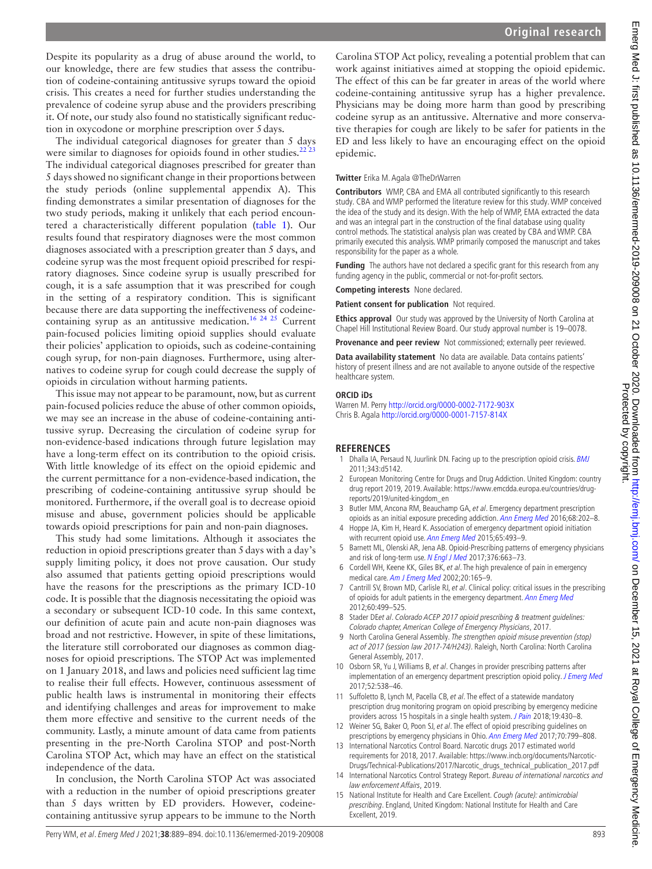Despite its popularity as a drug of abuse around the world, to our knowledge, there are few studies that assess the contribution of codeine-containing antitussive syrups toward the opioid crisis. This creates a need for further studies understanding the prevalence of codeine syrup abuse and the providers prescribing it. Of note, our study also found no statistically significant reduction in oxycodone or morphine prescription over 5days.

The individual categorical diagnoses for greater than 5 days were similar to diagnoses for opioids found in other studies. $^{22}$ The individual categorical diagnoses prescribed for greater than 5 days showed no significant change in their proportions between the study periods ([online supplemental appendix A](https://dx.doi.org/10.1136/emermed-2019-209008)). This finding demonstrates a similar presentation of diagnoses for the two study periods, making it unlikely that each period encountered a characteristically different population ([table](#page-2-0) 1). Our results found that respiratory diagnoses were the most common diagnoses associated with a prescription greater than 5 days, and codeine syrup was the most frequent opioid prescribed for respiratory diagnoses. Since codeine syrup is usually prescribed for cough, it is a safe assumption that it was prescribed for cough in the setting of a respiratory condition. This is significant because there are data supporting the ineffectiveness of codeinecontaining syrup as an antitussive medication.<sup>16 24 25</sup> Current pain-focused policies limiting opioid supplies should evaluate their policies' application to opioids, such as codeine-containing cough syrup, for non-pain diagnoses. Furthermore, using alternatives to codeine syrup for cough could decrease the supply of opioids in circulation without harming patients.

This issue may not appear to be paramount, now, but as current pain-focused policies reduce the abuse of other common opioids, we may see an increase in the abuse of codeine-containing antitussive syrup. Decreasing the circulation of codeine syrup for non-evidence-based indications through future legislation may have a long-term effect on its contribution to the opioid crisis. With little knowledge of its effect on the opioid epidemic and the current permittance for a non-evidence-based indication, the prescribing of codeine-containing antitussive syrup should be monitored. Furthermore, if the overall goal is to decrease opioid misuse and abuse, government policies should be applicable towards opioid prescriptions for pain and non-pain diagnoses.

This study had some limitations. Although it associates the reduction in opioid prescriptions greater than 5 days with a day's supply limiting policy, it does not prove causation. Our study also assumed that patients getting opioid prescriptions would have the reasons for the prescriptions as the primary ICD-10 code. It is possible that the diagnosis necessitating the opioid was a secondary or subsequent ICD-10 code. In this same context, our definition of acute pain and acute non-pain diagnoses was broad and not restrictive. However, in spite of these limitations, the literature still corroborated our diagnoses as common diagnoses for opioid prescriptions. The STOP Act was implemented on 1 January 2018, and laws and policies need sufficient lag time to realise their full effects. However, continuous assessment of public health laws is instrumental in monitoring their effects and identifying challenges and areas for improvement to make them more effective and sensitive to the current needs of the community. Lastly, a minute amount of data came from patients presenting in the pre-North Carolina STOP and post-North Carolina STOP Act, which may have an effect on the statistical independence of the data.

In conclusion, the North Carolina STOP Act was associated with a reduction in the number of opioid prescriptions greater than 5 days written by ED providers. However, codeinecontaining antitussive syrup appears to be immune to the North

#### **Twitter** Erika M. Agala [@TheDrWarren](https://twitter.com/TheDrWarren)

**Contributors** WMP, CBA and EMA all contributed significantly to this research study. CBA and WMP performed the literature review for this study. WMP conceived the idea of the study and its design. With the help of WMP, EMA extracted the data and was an integral part in the construction of the final database using quality control methods. The statistical analysis plan was created by CBA and WMP. CBA primarily executed this analysis. WMP primarily composed the manuscript and takes responsibility for the paper as a whole.

**Funding** The authors have not declared a specific grant for this research from any funding agency in the public, commercial or not-for-profit sectors.

#### **Competing interests** None declared.

**Patient consent for publication** Not required.

**Ethics approval** Our study was approved by the University of North Carolina at Chapel Hill Institutional Review Board. Our study approval number is 19–0078.

**Provenance and peer review** Not commissioned; externally peer reviewed.

**Data availability statement** No data are available. Data contains patients' history of present illness and are not available to anyone outside of the respective healthcare system.

#### **ORCID iDs**

Warren M. Perry<http://orcid.org/0000-0002-7172-903X> Chris B. Agala <http://orcid.org/0000-0001-7157-814X>

#### **REFERENCES**

- <span id="page-4-0"></span>Dhalla IA, Persaud N, Juurlink DN. Facing up to the prescription opioid crisis. [BMJ](http://dx.doi.org/10.1136/bmj.d5142) 2011;343:d5142.
- <span id="page-4-1"></span>2 European Monitoring Centre for Drugs and Drug Addiction. United Kingdom: country drug report 2019, 2019. Available: [https://www.emcdda.europa.eu/countries/drug](https://www.emcdda.europa.eu/countries/drug-reports/2019/united-kingdom_en)[reports/2019/united-kingdom\\_en](https://www.emcdda.europa.eu/countries/drug-reports/2019/united-kingdom_en)
- <span id="page-4-2"></span>3 Butler MM, Ancona RM, Beauchamp GA, et al. Emergency department prescription opioids as an initial exposure preceding addiction. [Ann Emerg Med](http://dx.doi.org/10.1016/j.annemergmed.2015.11.033) 2016;68:202–8.
- 4 Hoppe JA, Kim H, Heard K. Association of emergency department opioid initiation with recurrent opioid use. [Ann Emerg Med](http://dx.doi.org/10.1016/j.annemergmed.2014.11.015) 2015;65:493-9.
- 5 Barnett ML, Olenski AR, Jena AB. Opioid-Prescribing patterns of emergency physicians and risk of long-term use. [N Engl J Med](http://dx.doi.org/10.1056/NEJMsa1610524) 2017;376:663-73.
- 6 Cordell WH, Keene KK, Giles BK, et al. The high prevalence of pain in emergency medical care. [Am J Emerg Med](http://dx.doi.org/10.1053/ajem.2002.32643) 2002;20:165–9.
- <span id="page-4-3"></span>7 Cantrill SV, Brown MD, Carlisle RJ, et al. Clinical policy: critical issues in the prescribing of opioids for adult patients in the emergency department. [Ann Emerg Med](http://dx.doi.org/10.1016/j.annemergmed.2012.06.013) 2012;60:499–525.
- 8 Stader DEet al. Colorado ACEP 2017 opioid prescribing & treatment guidelines: Colorado chapter, American College of Emergency Physicians, 2017.
- <span id="page-4-8"></span>9 North Carolina General Assembly. The strengthen opioid misuse prevention (stop) act of 2017 (session law 2017-74/H243). Raleigh, North Carolina: North Carolina General Assembly, 2017.
- <span id="page-4-4"></span>10 Osborn SR, Yu J, Williams B, et al. Changes in provider prescribing patterns after implementation of an emergency department prescription opioid policy. [J Emerg Med](http://dx.doi.org/10.1016/j.jemermed.2016.07.120) 2017;52:538–46.
- 11 Suffoletto B, Lynch M, Pacella CB, et al. The effect of a statewide mandatory prescription drug monitoring program on opioid prescribing by emergency medicine providers across 15 hospitals in a single health system. [J Pain](http://dx.doi.org/10.1016/j.jpain.2017.11.010) 2018;19:430-8.
- 12 Weiner SG, Baker O, Poon SJ, et al. The effect of opioid prescribing guidelines on prescriptions by emergency physicians in Ohio. [Ann Emerg Med](http://dx.doi.org/10.1016/j.annemergmed.2017.03.057) 2017;70:799–808.
- <span id="page-4-5"></span>13 International Narcotics Control Board. Narcotic drugs 2017 estimated world requirements for 2018, 2017. Available: [https://www.incb.org/documents/Narcotic-](https://www.incb.org/documents/Narcotic-Drugs/Technical-Publications/2017/Narcotic_drugs_technical_publication_2017.pdf)
- <span id="page-4-6"></span>[Drugs/Technical-Publications/2017/Narcotic\\_drugs\\_technical\\_publication\\_2017.pdf](https://www.incb.org/documents/Narcotic-Drugs/Technical-Publications/2017/Narcotic_drugs_technical_publication_2017.pdf) 14 International Narcotics Control Strategy Report. Bureau of international narcotics and law enforcement Affairs, 2019.
- <span id="page-4-7"></span>15 National Institute for Health and Care Excellent. Cough (acute): antimicrobial prescribing. England, United Kingdom: National Institute for Health and Care Excellent, 2019.